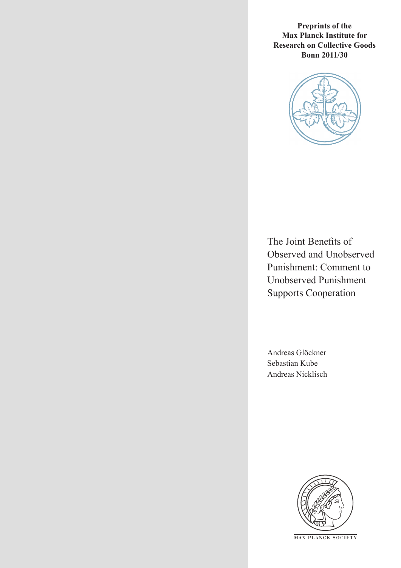**Preprints of the Max Planck Institute for Research on Collective Goods Bonn 2011/30**



The Joint Benefits of Observed and Unobserved Punishment: Comment to Unobserved Punishment Supports Cooperation

Andreas Glöckner Sebastian Kube Andreas Nicklisch



**M AX PLANCK SOCIETY**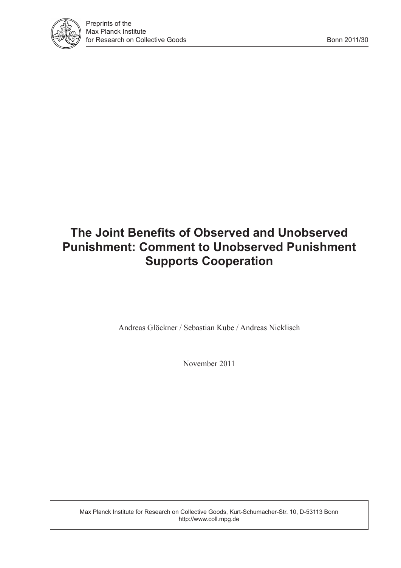

## **The Joint Benefits of Observed and Unobserved Punishment: Comment to Unobserved Punishment Supports Cooperation**

Andreas Glöckner / Sebastian Kube / Andreas Nicklisch

November 2011

Max Planck Institute for Research on Collective Goods, Kurt-Schumacher-Str. 10, D-53113 Bonn http://www.coll.mpg.de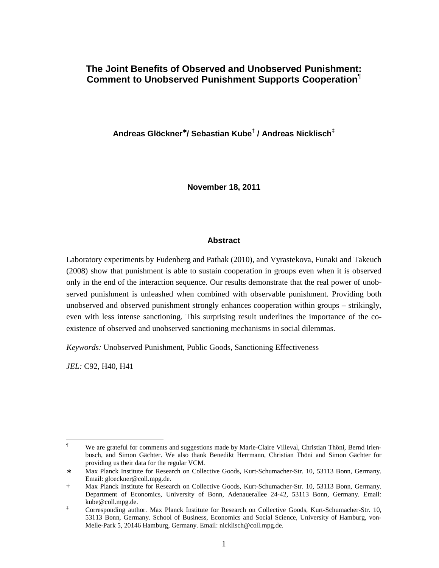## **The Joint Benefits of Observed and Unobserved Punishment: Comment to Unobserved Punishment Supports Cooperation¶**

**Andreas Glöckner**<sup>∗</sup> **/ Sebastian Kube† / Andreas Nicklisch‡**

**November 18, 2011** 

#### **Abstract**

Laboratory experiments by Fudenberg and Pathak (2010), and Vyrastekova, Funaki and Takeuch (2008) show that punishment is able to sustain cooperation in groups even when it is observed only in the end of the interaction sequence. Our results demonstrate that the real power of unobserved punishment is unleashed when combined with observable punishment. Providing both unobserved and observed punishment strongly enhances cooperation within groups – strikingly, even with less intense sanctioning. This surprising result underlines the importance of the coexistence of observed and unobserved sanctioning mechanisms in social dilemmas.

*Keywords:* Unobserved Punishment, Public Goods, Sanctioning Effectiveness

*JEL:* C92, H40, H41

l

<sup>¶</sup> We are grateful for comments and suggestions made by Marie-Claire Villeval, Christian Thöni, Bernd Irlenbusch, and Simon Gächter. We also thank Benedikt Herrmann, Christian Thöni and Simon Gächter for providing us their data for the regular VCM.

<sup>∗</sup> Max Planck Institute for Research on Collective Goods, Kurt-Schumacher-Str. 10, 53113 Bonn, Germany. Email: gloeckner@coll.mpg.de.

<sup>†</sup> Max Planck Institute for Research on Collective Goods, Kurt-Schumacher-Str. 10, 53113 Bonn, Germany. Department of Economics, University of Bonn, Adenauerallee 24-42, 53113 Bonn, Germany. Email: kube@coll.mpg.de.

<sup>‡</sup> Corresponding author. Max Planck Institute for Research on Collective Goods, Kurt-Schumacher-Str. 10, 53113 Bonn, Germany. School of Business, Economics and Social Science, University of Hamburg, von-Melle-Park 5, 20146 Hamburg, Germany. Email: nicklisch@coll.mpg.de.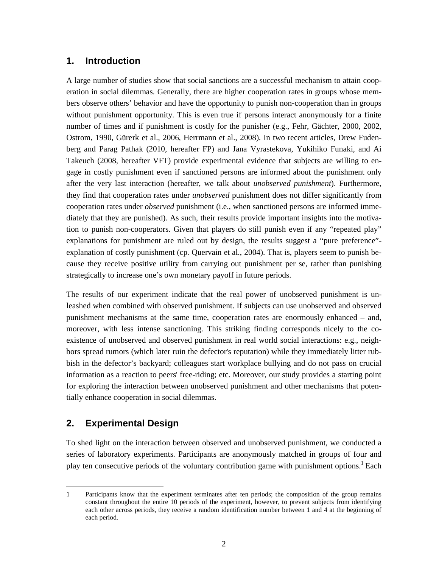#### **1. Introduction**

A large number of studies show that social sanctions are a successful mechanism to attain cooperation in social dilemmas. Generally, there are higher cooperation rates in groups whose members observe others' behavior and have the opportunity to punish non-cooperation than in groups without punishment opportunity. This is even true if persons interact anonymously for a finite number of times and if punishment is costly for the punisher (e.g., Fehr, Gächter, 2000, 2002, Ostrom, 1990, Gürerk et al., 2006, Herrmann et al., 2008). In two recent articles, Drew Fudenberg and Parag Pathak (2010, hereafter FP) and Jana Vyrastekova, Yukihiko Funaki, and Ai Takeuch (2008, hereafter VFT) provide experimental evidence that subjects are willing to engage in costly punishment even if sanctioned persons are informed about the punishment only after the very last interaction (hereafter, we talk about *unobserved punishment*). Furthermore, they find that cooperation rates under *unobserved* punishment does not differ significantly from cooperation rates under *observed* punishment (i.e., when sanctioned persons are informed immediately that they are punished). As such, their results provide important insights into the motivation to punish non-cooperators. Given that players do still punish even if any "repeated play" explanations for punishment are ruled out by design, the results suggest a "pure preference" explanation of costly punishment (cp. Quervain et al., 2004). That is, players seem to punish because they receive positive utility from carrying out punishment per se, rather than punishing strategically to increase one's own monetary payoff in future periods.

The results of our experiment indicate that the real power of unobserved punishment is unleashed when combined with observed punishment. If subjects can use unobserved and observed punishment mechanisms at the same time, cooperation rates are enormously enhanced – and, moreover, with less intense sanctioning. This striking finding corresponds nicely to the coexistence of unobserved and observed punishment in real world social interactions: e.g., neighbors spread rumors (which later ruin the defector's reputation) while they immediately litter rubbish in the defector's backyard; colleagues start workplace bullying and do not pass on crucial information as a reaction to peers' free-riding; etc. Moreover, our study provides a starting point for exploring the interaction between unobserved punishment and other mechanisms that potentially enhance cooperation in social dilemmas.

## **2. Experimental Design**

ı

To shed light on the interaction between observed and unobserved punishment, we conducted a series of laboratory experiments. Participants are anonymously matched in groups of four and play ten consecutive periods of the voluntary contribution game with punishment options.<sup>1</sup> Each

<sup>1</sup> Participants know that the experiment terminates after ten periods; the composition of the group remains constant throughout the entire 10 periods of the experiment, however, to prevent subjects from identifying each other across periods, they receive a random identification number between 1 and 4 at the beginning of each period.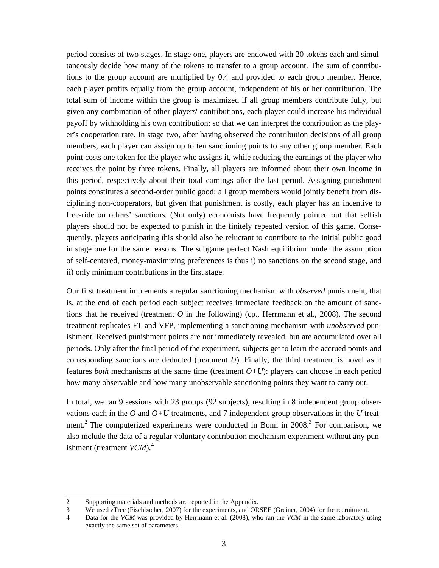period consists of two stages. In stage one, players are endowed with 20 tokens each and simultaneously decide how many of the tokens to transfer to a group account. The sum of contributions to the group account are multiplied by 0.4 and provided to each group member. Hence, each player profits equally from the group account, independent of his or her contribution. The total sum of income within the group is maximized if all group members contribute fully, but given any combination of other players' contributions, each player could increase his individual payoff by withholding his own contribution; so that we can interpret the contribution as the player's cooperation rate. In stage two, after having observed the contribution decisions of all group members, each player can assign up to ten sanctioning points to any other group member. Each point costs one token for the player who assigns it, while reducing the earnings of the player who receives the point by three tokens. Finally, all players are informed about their own income in this period, respectively about their total earnings after the last period. Assigning punishment points constitutes a second-order public good: all group members would jointly benefit from disciplining non-cooperators, but given that punishment is costly, each player has an incentive to free-ride on others' sanctions. (Not only) economists have frequently pointed out that selfish players should not be expected to punish in the finitely repeated version of this game. Consequently, players anticipating this should also be reluctant to contribute to the initial public good in stage one for the same reasons. The subgame perfect Nash equilibrium under the assumption of self-centered, money-maximizing preferences is thus i) no sanctions on the second stage, and ii) only minimum contributions in the first stage.

Our first treatment implements a regular sanctioning mechanism with *observed* punishment, that is, at the end of each period each subject receives immediate feedback on the amount of sanctions that he received (treatment *O* in the following) (cp., Herrmann et al., 2008). The second treatment replicates FT and VFP, implementing a sanctioning mechanism with *unobserved* punishment. Received punishment points are not immediately revealed, but are accumulated over all periods. Only after the final period of the experiment, subjects get to learn the accrued points and corresponding sanctions are deducted (treatment *U*). Finally, the third treatment is novel as it features *both* mechanisms at the same time (treatment *O+U*): players can choose in each period how many observable and how many unobservable sanctioning points they want to carry out.

In total, we ran 9 sessions with 23 groups (92 subjects), resulting in 8 independent group observations each in the *O* and *O+U* treatments, and 7 independent group observations in the *U* treatment.<sup>2</sup> The computerized experiments were conducted in Bonn in 2008.<sup>3</sup> For comparison, we also include the data of a regular voluntary contribution mechanism experiment without any punishment (treatment *VCM*).<sup>4</sup>

 $\overline{a}$ 

<sup>2</sup> Supporting materials and methods are reported in the Appendix.

<sup>3</sup> We used zTree (Fischbacher, 2007) for the experiments, and ORSEE (Greiner, 2004) for the recruitment.

<sup>4</sup> Data for the *VCM* was provided by Herrmann et al. (2008), who ran the *VCM* in the same laboratory using exactly the same set of parameters.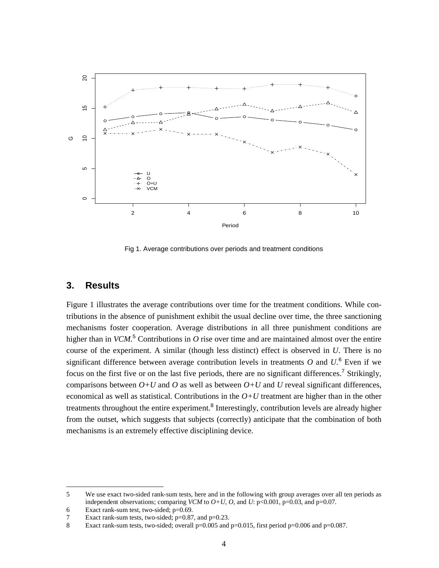

Fig 1. Average contributions over periods and treatment conditions

#### **3. Results**

ı

Figure 1 illustrates the average contributions over time for the treatment conditions. While contributions in the absence of punishment exhibit the usual decline over time, the three sanctioning mechanisms foster cooperation. Average distributions in all three punishment conditions are higher than in *VCM*.<sup>5</sup> Contributions in *O* rise over time and are maintained almost over the entire course of the experiment. A similar (though less distinct) effect is observed in *U*. There is no significant difference between average contribution levels in treatments  $O$  and  $U$ <sup>6</sup>. Even if we focus on the first five or on the last five periods, there are no significant differences.<sup>7</sup> Strikingly, comparisons between  $O+U$  and  $O$  as well as between  $O+U$  and  $U$  reveal significant differences, economical as well as statistical. Contributions in the  $O+U$  treatment are higher than in the other treatments throughout the entire experiment.<sup>8</sup> Interestingly, contribution levels are already higher from the outset, which suggests that subjects (correctly) anticipate that the combination of both mechanisms is an extremely effective disciplining device.

<sup>5</sup> We use exact two-sided rank-sum tests, here and in the following with group averages over all ten periods as independent observations; comparing *VCM* to  $O+U$ ,  $O$ , and  $U: p<0.001$ ,  $p=0.03$ , and  $p=0.07$ .

<sup>6</sup> Exact rank-sum test, two-sided; p=0.69.

<sup>7</sup> Exact rank-sum tests, two-sided; p=0.87, and p=0.23.

<sup>8</sup> Exact rank-sum tests, two-sided; overall p=0.005 and p=0.015, first period p=0.006 and p=0.087.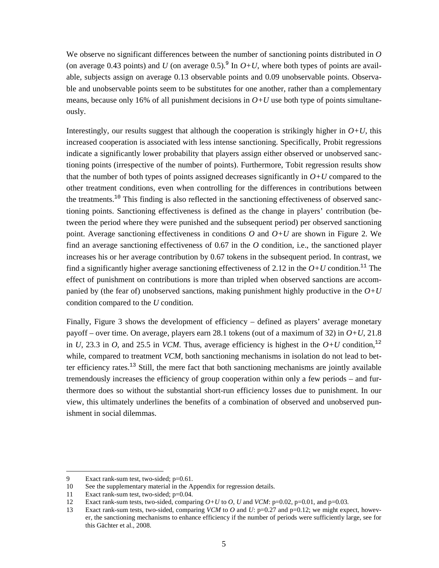We observe no significant differences between the number of sanctioning points distributed in *O* (on average 0.43 points) and *U* (on average 0.5).<sup>9</sup> In  $O+U$ , where both types of points are available, subjects assign on average 0.13 observable points and 0.09 unobservable points. Observable and unobservable points seem to be substitutes for one another, rather than a complementary means, because only 16% of all punishment decisions in  $O+U$  use both type of points simultaneously.

Interestingly, our results suggest that although the cooperation is strikingly higher in  $O+U$ , this increased cooperation is associated with less intense sanctioning. Specifically, Probit regressions indicate a significantly lower probability that players assign either observed or unobserved sanctioning points (irrespective of the number of points). Furthermore, Tobit regression results show that the number of both types of points assigned decreases significantly in  $O+U$  compared to the other treatment conditions, even when controlling for the differences in contributions between the treatments.<sup>10</sup> This finding is also reflected in the sanctioning effectiveness of observed sanctioning points. Sanctioning effectiveness is defined as the change in players' contribution (between the period where they were punished and the subsequent period) per observed sanctioning point. Average sanctioning effectiveness in conditions  $O$  and  $O+U$  are shown in Figure 2. We find an average sanctioning effectiveness of 0.67 in the *O* condition, i.e., the sanctioned player increases his or her average contribution by 0.67 tokens in the subsequent period. In contrast, we find a significantly higher average sanctioning effectiveness of 2.12 in the  $O+U$  condition.<sup>11</sup> The effect of punishment on contributions is more than tripled when observed sanctions are accompanied by (the fear of) unobserved sanctions, making punishment highly productive in the *O+U* condition compared to the *U* condition.

Finally, Figure 3 shows the development of efficiency – defined as players' average monetary payoff – over time. On average, players earn 28.1 tokens (out of a maximum of 32) in *O+U*, 21.8 in *U*, 23.3 in *O*, and 25.5 in *VCM*. Thus, average efficiency is highest in the  $O+U$  condition,<sup>12</sup> while, compared to treatment *VCM*, both sanctioning mechanisms in isolation do not lead to better efficiency rates. $^{13}$  Still, the mere fact that both sanctioning mechanisms are jointly available tremendously increases the efficiency of group cooperation within only a few periods – and furthermore does so without the substantial short-run efficiency losses due to punishment. In our view, this ultimately underlines the benefits of a combination of observed and unobserved punishment in social dilemmas.

l

<sup>9</sup> Exact rank-sum test, two-sided; p=0.61.

<sup>10</sup> See the supplementary material in the Appendix for regression details.

<sup>11</sup> Exact rank-sum test, two-sided; p=0.04.

<sup>12</sup> Exact rank-sum tests, two-sided, comparing *O+U* to *O, U* and *VCM*: p=0.02, p=0.01, and p=0.03.

<sup>13</sup> Exact rank-sum tests, two-sided, comparing *VCM* to *O* and *U*: p=0.27 and p=0.12; we might expect, however, the sanctioning mechanisms to enhance efficiency if the number of periods were sufficiently large, see for this Gächter et al., 2008.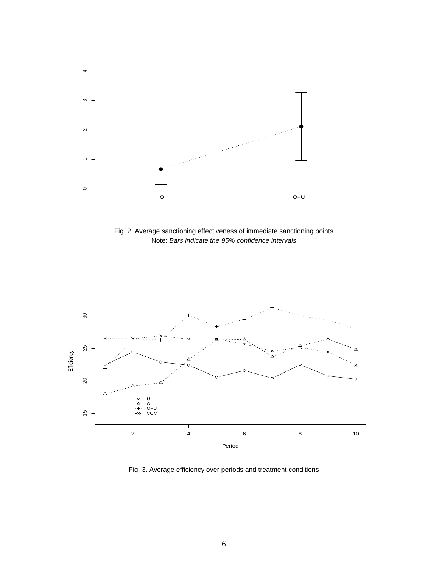

Fig. 2. Average sanctioning effectiveness of immediate sanctioning points Note: Bars indicate the 95% confidence intervals



Fig. 3. Average efficiency over periods and treatment conditions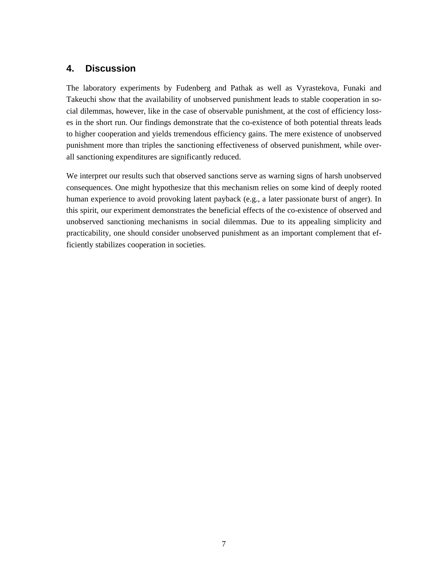## **4. Discussion**

The laboratory experiments by Fudenberg and Pathak as well as Vyrastekova, Funaki and Takeuchi show that the availability of unobserved punishment leads to stable cooperation in social dilemmas, however, like in the case of observable punishment, at the cost of efficiency losses in the short run. Our findings demonstrate that the co-existence of both potential threats leads to higher cooperation and yields tremendous efficiency gains. The mere existence of unobserved punishment more than triples the sanctioning effectiveness of observed punishment, while overall sanctioning expenditures are significantly reduced.

We interpret our results such that observed sanctions serve as warning signs of harsh unobserved consequences. One might hypothesize that this mechanism relies on some kind of deeply rooted human experience to avoid provoking latent payback (e.g., a later passionate burst of anger). In this spirit, our experiment demonstrates the beneficial effects of the co-existence of observed and unobserved sanctioning mechanisms in social dilemmas. Due to its appealing simplicity and practicability, one should consider unobserved punishment as an important complement that efficiently stabilizes cooperation in societies.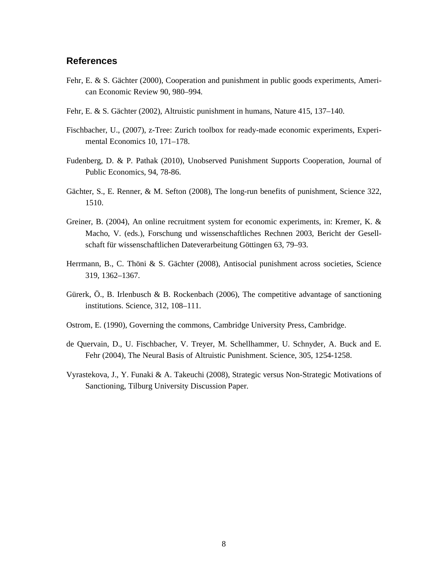#### **References**

- Fehr, E. & S. Gächter (2000), Cooperation and punishment in public goods experiments, American Economic Review 90, 980–994.
- Fehr, E. & S. Gächter (2002), Altruistic punishment in humans, Nature 415, 137–140.
- Fischbacher, U., (2007), z-Tree: Zurich toolbox for ready-made economic experiments, Experimental Economics 10, 171–178.
- Fudenberg, D. & P. Pathak (2010), Unobserved Punishment Supports Cooperation, Journal of Public Economics, 94, 78-86.
- Gächter, S., E. Renner, & M. Sefton (2008), The long-run benefits of punishment, Science 322, 1510.
- Greiner, B. (2004), An online recruitment system for economic experiments, in: Kremer, K. & Macho, V. (eds.), Forschung und wissenschaftliches Rechnen 2003, Bericht der Gesellschaft für wissenschaftlichen Dateverarbeitung Göttingen 63, 79–93.
- Herrmann, B., C. Thöni & S. Gächter (2008), Antisocial punishment across societies, Science 319, 1362–1367.
- Gürerk, Ö., B. Irlenbusch & B. Rockenbach (2006), The competitive advantage of sanctioning institutions. Science, 312, 108–111.
- Ostrom, E. (1990), Governing the commons, Cambridge University Press, Cambridge.
- de Quervain, D., U. Fischbacher, V. Treyer, M. Schellhammer, U. Schnyder, A. Buck and E. Fehr (2004), The Neural Basis of Altruistic Punishment. Science, 305, 1254-1258.
- Vyrastekova, J., Y. Funaki & A. Takeuchi (2008), Strategic versus Non-Strategic Motivations of Sanctioning, Tilburg University Discussion Paper.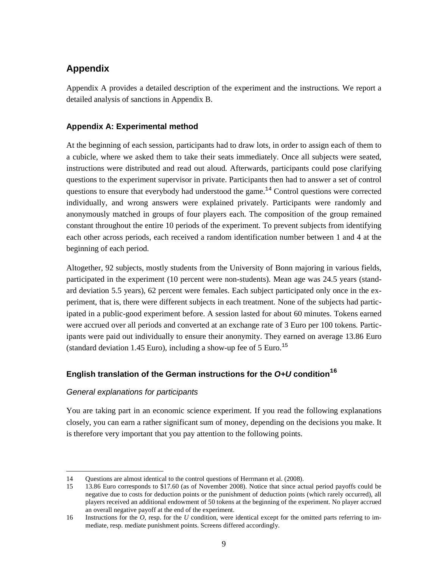## **Appendix**

Appendix A provides a detailed description of the experiment and the instructions. We report a detailed analysis of sanctions in Appendix B.

### **Appendix A: Experimental method**

At the beginning of each session, participants had to draw lots, in order to assign each of them to a cubicle, where we asked them to take their seats immediately. Once all subjects were seated, instructions were distributed and read out aloud. Afterwards, participants could pose clarifying questions to the experiment supervisor in private. Participants then had to answer a set of control questions to ensure that everybody had understood the game.<sup>14</sup> Control questions were corrected individually, and wrong answers were explained privately. Participants were randomly and anonymously matched in groups of four players each. The composition of the group remained constant throughout the entire 10 periods of the experiment. To prevent subjects from identifying each other across periods, each received a random identification number between 1 and 4 at the beginning of each period.

Altogether, 92 subjects, mostly students from the University of Bonn majoring in various fields, participated in the experiment (10 percent were non-students). Mean age was 24.5 years (standard deviation 5.5 years), 62 percent were females. Each subject participated only once in the experiment, that is, there were different subjects in each treatment. None of the subjects had participated in a public-good experiment before. A session lasted for about 60 minutes. Tokens earned were accrued over all periods and converted at an exchange rate of 3 Euro per 100 tokens. Participants were paid out individually to ensure their anonymity. They earned on average 13.86 Euro (standard deviation 1.45 Euro), including a show-up fee of 5 Euro.<sup>15</sup>

## **English translation of the German instructions for the O+U condition<sup>16</sup>**

#### General explanations for participants

l

You are taking part in an economic science experiment. If you read the following explanations closely, you can earn a rather significant sum of money, depending on the decisions you make. It is therefore very important that you pay attention to the following points.

<sup>14</sup> Questions are almost identical to the control questions of Herrmann et al. (2008).

<sup>15 13.86</sup> Euro corresponds to \$17.60 (as of November 2008). Notice that since actual period payoffs could be negative due to costs for deduction points or the punishment of deduction points (which rarely occurred), all players received an additional endowment of 50 tokens at the beginning of the experiment. No player accrued an overall negative payoff at the end of the experiment.

<sup>16</sup> Instructions for the *O,* resp. for the *U* condition, were identical except for the omitted parts referring to immediate, resp. mediate punishment points. Screens differed accordingly.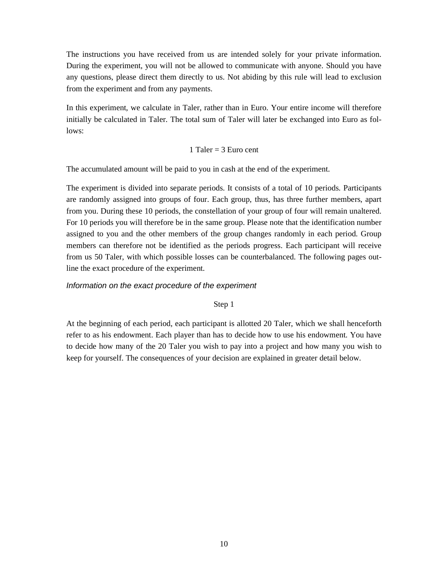The instructions you have received from us are intended solely for your private information. During the experiment, you will not be allowed to communicate with anyone. Should you have any questions, please direct them directly to us. Not abiding by this rule will lead to exclusion from the experiment and from any payments.

In this experiment, we calculate in Taler, rather than in Euro. Your entire income will therefore initially be calculated in Taler. The total sum of Taler will later be exchanged into Euro as follows:

#### 1 Taler =  $3$  Euro cent

The accumulated amount will be paid to you in cash at the end of the experiment.

The experiment is divided into separate periods. It consists of a total of 10 periods. Participants are randomly assigned into groups of four. Each group, thus, has three further members, apart from you. During these 10 periods, the constellation of your group of four will remain unaltered. For 10 periods you will therefore be in the same group. Please note that the identification number assigned to you and the other members of the group changes randomly in each period. Group members can therefore not be identified as the periods progress. Each participant will receive from us 50 Taler, with which possible losses can be counterbalanced. The following pages outline the exact procedure of the experiment.

#### Information on the exact procedure of the experiment

Step 1

At the beginning of each period, each participant is allotted 20 Taler, which we shall henceforth refer to as his endowment. Each player than has to decide how to use his endowment. You have to decide how many of the 20 Taler you wish to pay into a project and how many you wish to keep for yourself. The consequences of your decision are explained in greater detail below.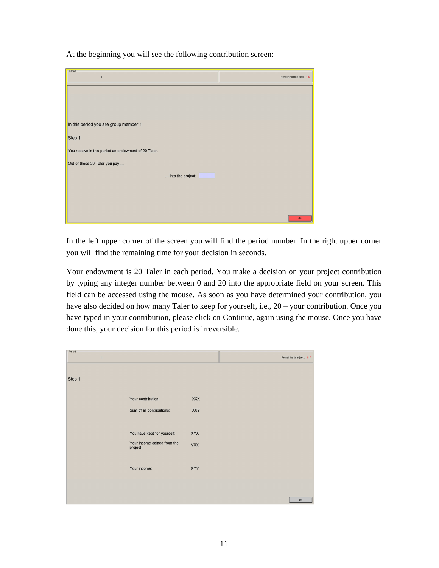At the beginning you will see the following contribution screen:

| $P$ eriod-<br>$\overline{1}$                         | Remaining time [sec]: 107 |
|------------------------------------------------------|---------------------------|
|                                                      |                           |
|                                                      |                           |
| In this period you are group member 1                |                           |
| Step 1                                               |                           |
| You receive in this period an endowment of 20 Taler. |                           |
| Out of these 20 Taler you pay                        |                           |
| into the project:                                    |                           |
|                                                      |                           |
|                                                      |                           |
|                                                      | Ok                        |

In the left upper corner of the screen you will find the period number. In the right upper corner you will find the remaining time for your decision in seconds.

Your endowment is 20 Taler in each period. You make a decision on your project contribution by typing any integer number between 0 and 20 into the appropriate field on your screen. This field can be accessed using the mouse. As soon as you have determined your contribution, you have also decided on how many Taler to keep for yourself, i.e., 20 – your contribution. Once you have typed in your contribution, please click on Continue, again using the mouse. Once you have done this, your decision for this period is irreversible.

| Period<br>$\mathbf{1}$ |                                         |            | Remaining time [sec]: 117 |
|------------------------|-----------------------------------------|------------|---------------------------|
|                        |                                         |            |                           |
| Step 1                 |                                         |            |                           |
|                        | Your contribution:                      | <b>XXX</b> |                           |
|                        | Sum of all contributions:               | XXY        |                           |
|                        |                                         |            |                           |
|                        | You have kept for yourself:             | XYX        |                           |
|                        | Your income gained from the<br>project: | YXX        |                           |
|                        |                                         |            |                           |
|                        | Your income:                            | XYY        |                           |
|                        |                                         |            |                           |
|                        |                                         |            | Ok                        |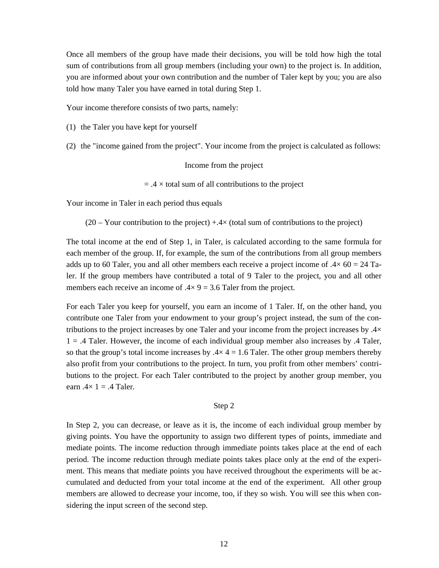Once all members of the group have made their decisions, you will be told how high the total sum of contributions from all group members (including your own) to the project is. In addition, you are informed about your own contribution and the number of Taler kept by you; you are also told how many Taler you have earned in total during Step 1.

Your income therefore consists of two parts, namely:

(1) the Taler you have kept for yourself

(2) the "income gained from the project". Your income from the project is calculated as follows:

Income from the project

 $=$  .4  $\times$  total sum of all contributions to the project

Your income in Taler in each period thus equals

 $(20 - \text{Your contribution to the project}) +.4\times$  (total sum of contributions to the project)

The total income at the end of Step 1, in Taler, is calculated according to the same formula for each member of the group. If, for example, the sum of the contributions from all group members adds up to 60 Taler, you and all other members each receive a project income of  $.4 \times 60 = 24$  Taler. If the group members have contributed a total of 9 Taler to the project, you and all other members each receive an income of  $.4 \times 9 = 3.6$  Taler from the project.

For each Taler you keep for yourself, you earn an income of 1 Taler. If, on the other hand, you contribute one Taler from your endowment to your group's project instead, the sum of the contributions to the project increases by one Taler and your income from the project increases by .4×  $1 = .4$  Taler. However, the income of each individual group member also increases by  $.4$  Taler, so that the group's total income increases by  $.4 \times 4 = 1.6$  Taler. The other group members thereby also profit from your contributions to the project. In turn, you profit from other members' contributions to the project. For each Taler contributed to the project by another group member, you earn  $.4 \times 1 = .4$  Taler.

#### Step 2

In Step 2, you can decrease, or leave as it is, the income of each individual group member by giving points. You have the opportunity to assign two different types of points, immediate and mediate points. The income reduction through immediate points takes place at the end of each period. The income reduction through mediate points takes place only at the end of the experiment. This means that mediate points you have received throughout the experiments will be accumulated and deducted from your total income at the end of the experiment. All other group members are allowed to decrease your income, too, if they so wish. You will see this when considering the input screen of the second step.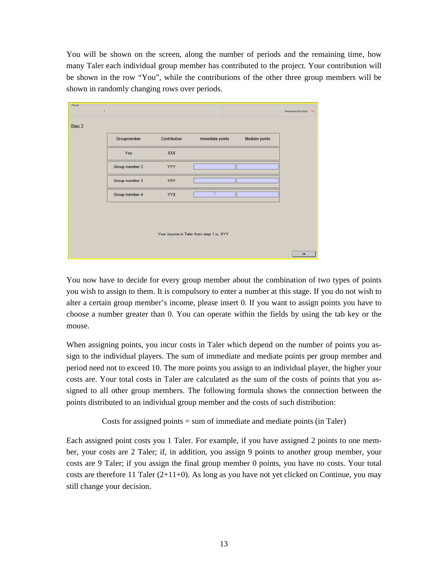You will be shown on the screen, along the number of periods and the remaining time, how many Taler each individual group member has contributed to the project. Your contribution will be shown in the row "You", while the contributions of the other three group members will be shown in randomly changing rows over periods.

| -Period-                                 | $\overline{1}$ |              |                  |                | Remaining time [sec]: 110 |
|------------------------------------------|----------------|--------------|------------------|----------------|---------------------------|
| Step 2                                   |                |              |                  |                |                           |
|                                          | Groupmember    | Contribution | Immediate points | Mediate points |                           |
|                                          | You            | <b>XXX</b>   |                  |                |                           |
|                                          | Group member 2 | <b>YYY</b>   |                  |                |                           |
|                                          | Group member 3 | <b>YXY</b>   |                  |                |                           |
|                                          | Group member 4 | <b>YYX</b>   |                  |                |                           |
|                                          |                |              |                  |                |                           |
|                                          |                |              |                  |                |                           |
| Your income in Taler from step 1 is: XYY |                |              |                  |                |                           |
|                                          |                |              |                  |                | Ok                        |

You now have to decide for every group member about the combination of two types of points you wish to assign to them. It is compulsory to enter a number at this stage. If you do not wish to alter a certain group member's income, please insert 0. If you want to assign points you have to choose a number greater than 0. You can operate within the fields by using the tab key or the mouse.

When assigning points, you incur costs in Taler which depend on the number of points you assign to the individual players. The sum of immediate and mediate points per group member and period need not to exceed 10. The more points you assign to an individual player, the higher your costs are. Your total costs in Taler are calculated as the sum of the costs of points that you assigned to all other group members. The following formula shows the connection between the points distributed to an individual group member and the costs of such distribution:

Costs for assigned points = sum of immediate and mediate points (in Taler)

Each assigned point costs you 1 Taler. For example, if you have assigned 2 points to one member, your costs are 2 Taler; if, in addition, you assign 9 points to another group member, your costs are 9 Taler; if you assign the final group member 0 points, you have no costs. Your total costs are therefore 11 Taler  $(2+11+0)$ . As long as you have not yet clicked on Continue, you may still change your decision.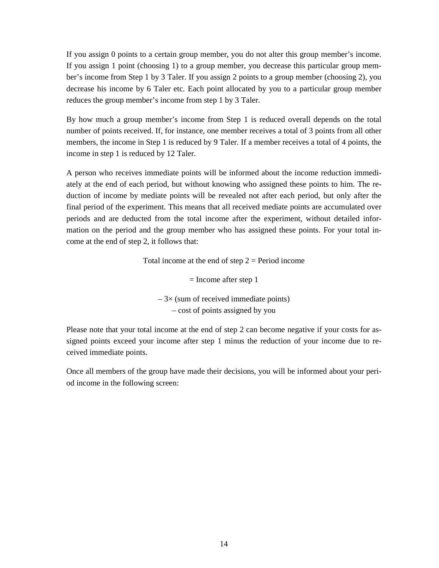If you assign 0 points to a certain group member, you do not alter this group member's income. If you assign 1 point (choosing 1) to a group member, you decrease this particular group member's income from Step 1 by 3 Taler. If you assign 2 points to a group member (choosing 2), you decrease his income by 6 Taler etc. Each point allocated by you to a particular group member reduces the group member's income from step 1 by 3 Taler.

By how much a group member's income from Step 1 is reduced overall depends on the total number of points received. If, for instance, one member receives a total of 3 points from all other members, the income in Step 1 is reduced by 9 Taler. If a member receives a total of 4 points, the income in step 1 is reduced by 12 Taler.

A person who receives immediate points will be informed about the income reduction immediately at the end of each period, but without knowing who assigned these points to him. The reduction of income by mediate points will be revealed not after each period, but only after the final period of the experiment. This means that all received mediate points are accumulated over periods and are deducted from the total income after the experiment, without detailed information on the period and the group member who has assigned these points. For your total income at the end of step 2, it follows that:

Total income at the end of step  $2 = Period$  income

 $=$  Income after step 1  $-3\times$  (sum of received immediate points) – cost of points assigned by you

Please note that your total income at the end of step 2 can become negative if your costs for assigned points exceed your income after step 1 minus the reduction of your income due to received immediate points.

Once all members of the group have made their decisions, you will be informed about your period income in the following screen: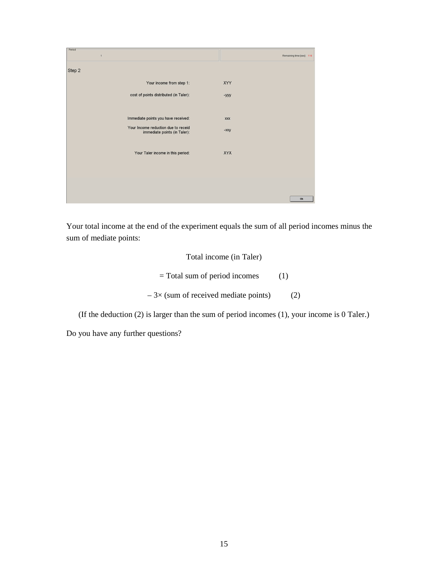| Period<br>$\overline{1}$                                            | Remaining time [sec]: 116 |
|---------------------------------------------------------------------|---------------------------|
| Step 2                                                              |                           |
| Your income from step 1:                                            | XYY                       |
| cost of points distributed (in Taler):                              | -yyy                      |
|                                                                     |                           |
| Immediate points you have received:                                 | <b>XXX</b>                |
| Your Income reduction due to receid<br>immediate points (in Taler): | $ xxy$                    |
|                                                                     |                           |
| Your Taler income in this period:                                   | <b>XYX</b>                |
|                                                                     |                           |
|                                                                     |                           |
|                                                                     |                           |
|                                                                     | Ok                        |

Your total income at the end of the experiment equals the sum of all period incomes minus the sum of mediate points:

# Total income (in Taler)  $=$  Total sum of period incomes (1)  $-3\times$  (sum of received mediate points) (2)

(If the deduction (2) is larger than the sum of period incomes (1), your income is 0 Taler.)

Do you have any further questions?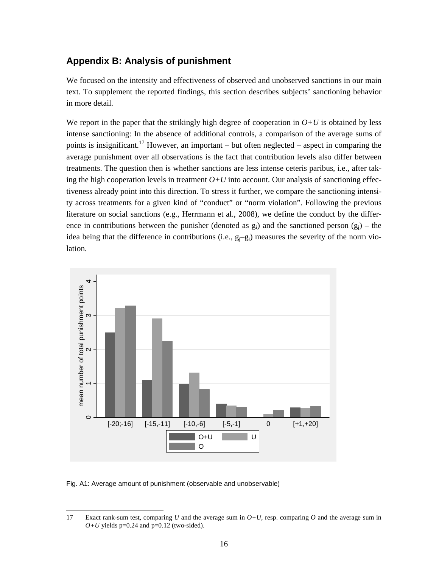## **Appendix B: Analysis of punishment**

We focused on the intensity and effectiveness of observed and unobserved sanctions in our main text. To supplement the reported findings, this section describes subjects' sanctioning behavior in more detail.

We report in the paper that the strikingly high degree of cooperation in  $O+U$  is obtained by less intense sanctioning: In the absence of additional controls, a comparison of the average sums of points is insignificant.<sup>17</sup> However, an important – but often neglected – aspect in comparing the average punishment over all observations is the fact that contribution levels also differ between treatments. The question then is whether sanctions are less intense ceteris paribus, i.e., after taking the high cooperation levels in treatment  $O+U$  into account. Our analysis of sanctioning effectiveness already point into this direction. To stress it further, we compare the sanctioning intensity across treatments for a given kind of "conduct" or "norm violation". Following the previous literature on social sanctions (e.g., Herrmann et al., 2008), we define the conduct by the difference in contributions between the punisher (denoted as  $g_i$ ) and the sanctioned person  $(g_i)$  – the idea being that the difference in contributions (i.e.,  $g_i-g_i$ ) measures the severity of the norm violation.



Fig. A1: Average amount of punishment (observable and unobservable)

l

<sup>17</sup> Exact rank-sum test, comparing *U* and the average sum in *O+U*, resp. comparing *O* and the average sum in  $O+U$  yields p=0.24 and p=0.12 (two-sided).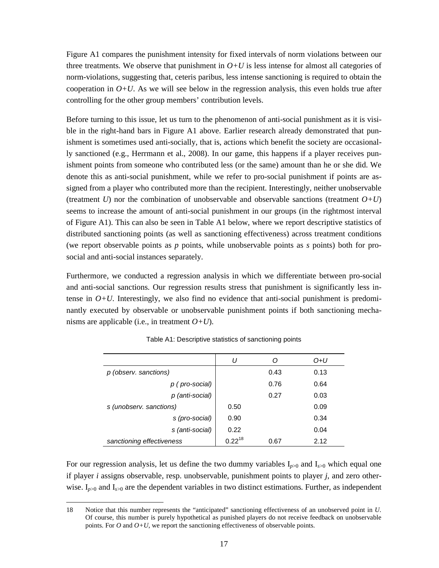Figure A1 compares the punishment intensity for fixed intervals of norm violations between our three treatments. We observe that punishment in  $O+U$  is less intense for almost all categories of norm-violations, suggesting that, ceteris paribus, less intense sanctioning is required to obtain the cooperation in  $O+U$ . As we will see below in the regression analysis, this even holds true after controlling for the other group members' contribution levels.

Before turning to this issue, let us turn to the phenomenon of anti-social punishment as it is visible in the right-hand bars in Figure A1 above. Earlier research already demonstrated that punishment is sometimes used anti-socially, that is, actions which benefit the society are occasionally sanctioned (e.g., Herrmann et al., 2008). In our game, this happens if a player receives punishment points from someone who contributed less (or the same) amount than he or she did. We denote this as anti-social punishment, while we refer to pro-social punishment if points are assigned from a player who contributed more than the recipient. Interestingly, neither unobservable (treatment *U*) nor the combination of unobservable and observable sanctions (treatment  $O+U$ ) seems to increase the amount of anti-social punishment in our groups (in the rightmost interval of Figure A1). This can also be seen in Table A1 below, where we report descriptive statistics of distributed sanctioning points (as well as sanctioning effectiveness) across treatment conditions (we report observable points as *p* points, while unobservable points as *s* points) both for prosocial and anti-social instances separately.

Furthermore, we conducted a regression analysis in which we differentiate between pro-social and anti-social sanctions. Our regression results stress that punishment is significantly less intense in  $O+U$ . Interestingly, we also find no evidence that anti-social punishment is predominantly executed by observable or unobservable punishment points if both sanctioning mechanisms are applicable (i.e., in treatment  $O+U$ ).

|                           | U           |      | O+U  |
|---------------------------|-------------|------|------|
| p (observ. sanctions)     |             | 0.43 | 0.13 |
| p (pro-social)            |             | 0.76 | 0.64 |
| p (anti-social)           |             | 0.27 | 0.03 |
| s (unobserv. sanctions)   | 0.50        |      | 0.09 |
| s (pro-social)            | 0.90        |      | 0.34 |
| s (anti-social)           | 0.22        |      | 0.04 |
| sanctioning effectiveness | $0.22^{18}$ | 0.67 | 2.12 |

Table A1: Descriptive statistics of sanctioning points

For our regression analysis, let us define the two dummy variables  $I_{p>0}$  and  $I_{s>0}$  which equal one if player *i* assigns observable, resp. unobservable, punishment points to player *j*, and zero otherwise.  $I_{p>0}$  and  $I_{s>0}$  are the dependent variables in two distinct estimations. Further, as independent

ı

<sup>18</sup> Notice that this number represents the "anticipated" sanctioning effectiveness of an unobserved point in *U*. Of course, this number is purely hypothetical as punished players do not receive feedback on unobservable points. For  $O$  and  $O+U$ , we report the sanctioning effectiveness of observable points.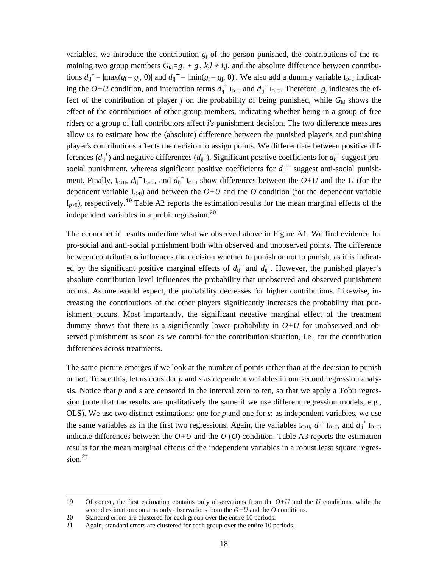variables, we introduce the contribution  $g_j$  of the person punished, the contributions of the remaining two group members  $G_{kl} = g_k + g_l$ ,  $k, l \neq i, j$ , and the absolute difference between contributions  $d_{ij}^+ = |max(g_i - g_j, 0)|$  and  $d_{ij}^- = |min(g_i - g_j, 0)|$ . We also add a dummy variable I<sub>O+U</sub> indicating the  $O+U$  condition, and interaction terms  $d_{ij}^+$  I<sub>O+U</sub> and  $d_{ij}^-$  I<sub>O+U</sub>. Therefore,  $g_j$  indicates the effect of the contribution of player *j* on the probability of being punished, while  $G_{kl}$  shows the effect of the contributions of other group members, indicating whether being in a group of free riders or a group of full contributors affect *i's* punishment decision. The two difference measures allow us to estimate how the (absolute) difference between the punished player's and punishing player's contributions affects the decision to assign points. We differentiate between positive differences  $(d_{ij}^+)$  and negative differences  $(d_{ij}^-)$ . Significant positive coefficients for  $d_{ij}^+$  suggest prosocial punishment, whereas significant positive coefficients for  $d_{ij}$ <sup>-</sup> suggest anti-social punishment. Finally,  $I_{Q+U}$ ,  $d_{ij}^{-1}I_{Q+U}$ , and  $d_{ij}^{+1}I_{Q+U}$  show differences between the  $Q+U$  and the U (for the dependent variable  $I_{s>0}$ ) and between the  $O+U$  and the  $O$  condition (for the dependent variable  $I_{p>0}$ ), respectively.<sup>19</sup> Table A2 reports the estimation results for the mean marginal effects of the independent variables in a probit regression.<sup>20</sup>

The econometric results underline what we observed above in Figure A1. We find evidence for pro-social and anti-social punishment both with observed and unobserved points. The difference between contributions influences the decision whether to punish or not to punish, as it is indicated by the significant positive marginal effects of  $d_{ij}^{\dagger}$  and  $d_{ij}^{\dagger}$ . However, the punished player's absolute contribution level influences the probability that unobserved and observed punishment occurs. As one would expect, the probability decreases for higher contributions. Likewise, increasing the contributions of the other players significantly increases the probability that punishment occurs. Most importantly, the significant negative marginal effect of the treatment dummy shows that there is a significantly lower probability in  $O+U$  for unobserved and observed punishment as soon as we control for the contribution situation, i.e., for the contribution differences across treatments.

The same picture emerges if we look at the number of points rather than at the decision to punish or not. To see this, let us consider *p* and *s* as dependent variables in our second regression analysis. Notice that *p* and *s* are censored in the interval zero to ten, so that we apply a Tobit regression (note that the results are qualitatively the same if we use different regression models, e.g., OLS). We use two distinct estimations: one for *p* and one for *s*; as independent variables, we use the same variables as in the first two regressions. Again, the variables  $I_{Q+U}$ ,  $d_{ij}^{-1}I_{Q+U}$ , and  $d_{ij}^{+1}I_{Q+U}$ , indicate differences between the  $O+U$  and the  $U(O)$  condition. Table A3 reports the estimation results for the mean marginal effects of the independent variables in a robust least square regression.<sup>21</sup>

 $\overline{a}$ 

<sup>19</sup> Of course, the first estimation contains only observations from the *O+U* and the *U* conditions, while the second estimation contains only observations from the *O+U* and the *O* conditions.

<sup>20</sup> Standard errors are clustered for each group over the entire 10 periods.

<sup>21</sup> Again, standard errors are clustered for each group over the entire 10 periods.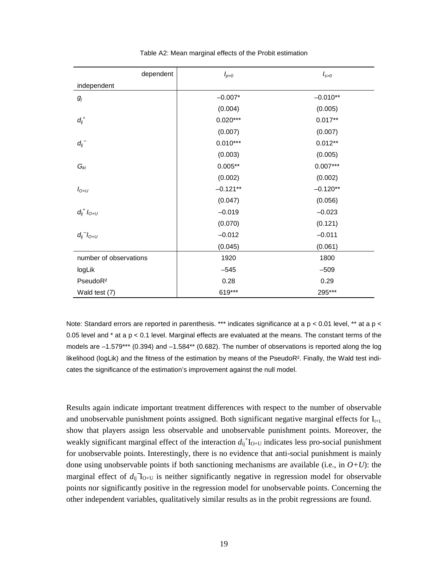| dependent              | $I_{p>0}$  | $I_{s>0}$  |
|------------------------|------------|------------|
| independent            |            |            |
| $g_{j}$                | $-0.007*$  | $-0.010**$ |
|                        | (0.004)    | (0.005)    |
| $d_{ij}^{\, +}$        | $0.020***$ | $0.017**$  |
|                        | (0.007)    | (0.007)    |
| $d_{ij}^-$             | $0.010***$ | $0.012**$  |
|                        | (0.003)    | (0.005)    |
| $G_{kl}$               | $0.005**$  | $0.007***$ |
|                        | (0.002)    | (0.002)    |
| $I_{O+U}$              | $-0.121**$ | $-0.120**$ |
|                        | (0.047)    | (0.056)    |
| $d_{ij}^{+} l_{0+U}$   | $-0.019$   | $-0.023$   |
|                        | (0.070)    | (0.121)    |
| $d_{ij}^- l_{O+U}$     | $-0.012$   | $-0.011$   |
|                        | (0.045)    | (0.061)    |
| number of observations | 1920       | 1800       |
| logLik                 | $-545$     | $-509$     |
| PseudoR <sup>2</sup>   | 0.28       | 0.29       |
| Wald test (7)          | 619***     | 295***     |

Table A2: Mean marginal effects of the Probit estimation

Note: Standard errors are reported in parenthesis. \*\*\* indicates significance at a p < 0.01 level, \*\* at a p < 0.05 level and \* at a p < 0.1 level. Marginal effects are evaluated at the means. The constant terms of the models are –1.579\*\*\* (0.394) and –1.584\*\* (0.682). The number of observations is reported along the log likelihood (logLik) and the fitness of the estimation by means of the PseudoR<sup>2</sup>. Finally, the Wald test indicates the significance of the estimation's improvement against the null model.

Results again indicate important treatment differences with respect to the number of observable and unobservable punishment points assigned. Both significant negative marginal effects for  $I_{H+L}$ show that players assign less observable and unobservable punishment points. Moreover, the weakly significant marginal effect of the interaction  $d_{ij}^{\dagger}I_{O+U}$  indicates less pro-social punishment for unobservable points. Interestingly, there is no evidence that anti-social punishment is mainly done using unobservable points if both sanctioning mechanisms are available (i.e., in *O+U*): the marginal effect of  $d_{ij}$ <sup>-</sup> $I_{O+U}$  is neither significantly negative in regression model for observable points nor significantly positive in the regression model for unobservable points. Concerning the other independent variables, qualitatively similar results as in the probit regressions are found.